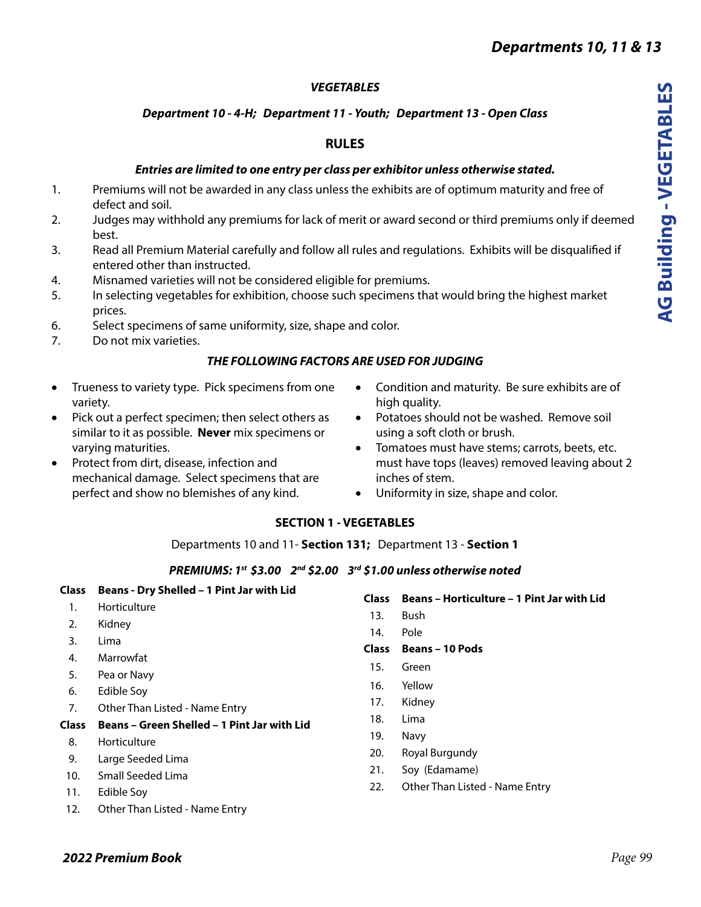# *VEGETABLES*

# *Department 10 - 4-H; Department 11 - Youth; Department 13 - Open Class*

# **RULES**

## *Entries are limited to one entry per class per exhibitor unless otherwise stated.*

- 1. Premiums will not be awarded in any class unless the exhibits are of optimum maturity and free of defect and soil.
- 2. Judges may withhold any premiums for lack of merit or award second or third premiums only if deemed best.
- 3. Read all Premium Material carefully and follow all rules and regulations. Exhibits will be disqualified if entered other than instructed.
- 4. Misnamed varieties will not be considered eligible for premiums.
- 5. In selecting vegetables for exhibition, choose such specimens that would bring the highest market prices.
- 6. Select specimens of same uniformity, size, shape and color.
- 7. Do not mix varieties.

## *THE FOLLOWING FACTORS ARE USED FOR JUDGING*

- Trueness to variety type. Pick specimens from one variety.
- Pick out a perfect specimen; then select others as similar to it as possible. **Never** mix specimens or varying maturities.
- Protect from dirt, disease, infection and mechanical damage. Select specimens that are perfect and show no blemishes of any kind.
- Condition and maturity. Be sure exhibits are of high quality.
- Potatoes should not be washed. Remove soil using a soft cloth or brush.
- Tomatoes must have stems; carrots, beets, etc. must have tops (leaves) removed leaving about 2 inches of stem.
- Uniformity in size, shape and color.

# **SECTION 1 - VEGETABLES**

Departments 10 and 11- **Section 131;** Department 13 - **Section 1**

## *PREMIUMS: 1st \$3.00 2nd \$2.00 3rd \$1.00 unless otherwise noted*

| Beans - Dry Shelled - 1 Pint Jar with Lid   |                                                                                                                    | <b>Beans - Horticulture - 1 Pint Jar with Lid</b> |
|---------------------------------------------|--------------------------------------------------------------------------------------------------------------------|---------------------------------------------------|
| Horticulture                                |                                                                                                                    |                                                   |
|                                             |                                                                                                                    | Bush                                              |
|                                             | 14.                                                                                                                | Pole                                              |
|                                             | <b>Class</b>                                                                                                       | <b>Beans - 10 Pods</b>                            |
|                                             | 15.                                                                                                                | Green                                             |
|                                             |                                                                                                                    | Yellow                                            |
| Edible Soy                                  |                                                                                                                    |                                                   |
| Other Than Listed - Name Entry              |                                                                                                                    | Kidney                                            |
| Beans - Green Shelled - 1 Pint Jar with Lid |                                                                                                                    | Lima                                              |
|                                             | 19.                                                                                                                | <b>Navy</b>                                       |
|                                             | 20.                                                                                                                | Royal Burgundy                                    |
|                                             | 21.                                                                                                                | Soy (Edamame)                                     |
|                                             |                                                                                                                    | Other Than Listed - Name Entry                    |
|                                             |                                                                                                                    |                                                   |
| Other Than Listed - Name Entry              |                                                                                                                    |                                                   |
|                                             | Kidney<br>Lima<br>Marrowfat<br>Pea or Navy<br>Horticulture<br>Large Seeded Lima<br>Small Seeded Lima<br>Edible Soy | <b>Class</b><br>13.<br>16.<br>17.<br>18.<br>22.   |

# *2022 Premium Book*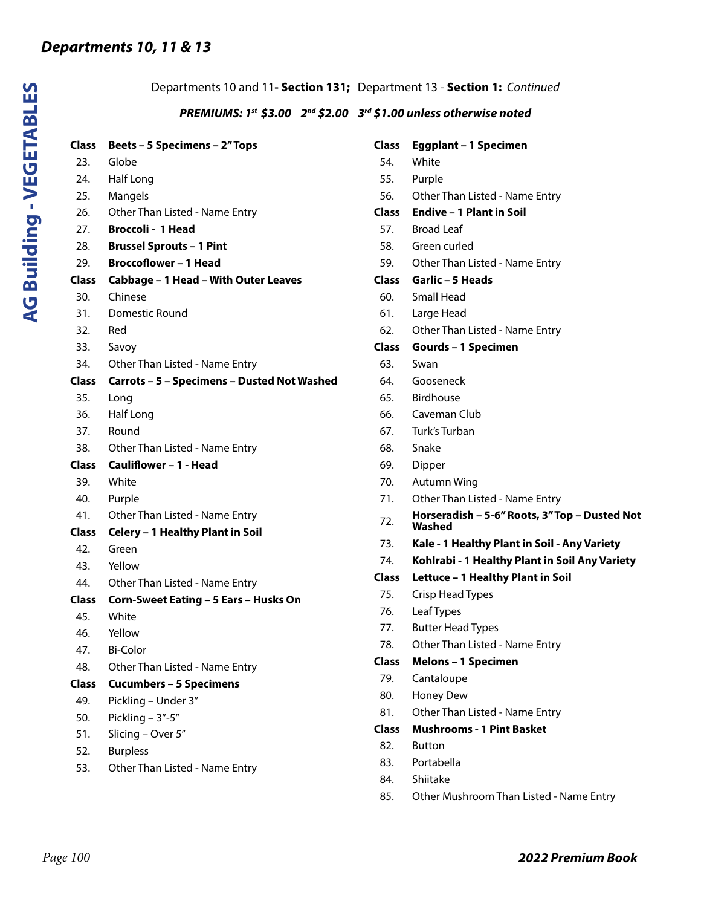**AG Building - VEGETABLES**

**AG Building - VEGETABLES** 

| Departments 10 and 11- Section 131; Department 13 - Section 1: Continued |                                                                                  |              |                                                |
|--------------------------------------------------------------------------|----------------------------------------------------------------------------------|--------------|------------------------------------------------|
|                                                                          | PREMIUMS: $1^{st}$ \$3.00 $2^{nd}$ \$2.00 $3^{rd}$ \$1.00 unless otherwise noted |              |                                                |
| Class                                                                    | <b>Beets - 5 Specimens - 2" Tops</b>                                             | <b>Class</b> | <b>Eggplant - 1 Specimen</b>                   |
| 23.                                                                      | Globe                                                                            | 54.          | White                                          |
| 24.                                                                      | Half Long                                                                        | 55.          | Purple                                         |
| 25.                                                                      | Mangels                                                                          | 56.          | Other Than Listed - Name Entry                 |
| 26.                                                                      | Other Than Listed - Name Entry                                                   | <b>Class</b> | <b>Endive - 1 Plant in Soil</b>                |
| 27.                                                                      | <b>Broccoli - 1 Head</b>                                                         | 57.          | <b>Broad Leaf</b>                              |
| 28.                                                                      | <b>Brussel Sprouts - 1 Pint</b>                                                  | 58.          | Green curled                                   |
| 29.                                                                      | <b>Broccoflower - 1 Head</b>                                                     | 59.          | Other Than Listed - Name Entry                 |
| <b>Class</b>                                                             | Cabbage - 1 Head - With Outer Leaves                                             | Class        | Garlic - 5 Heads                               |
| 30.                                                                      | Chinese                                                                          | 60.          | Small Head                                     |
| 31.                                                                      | Domestic Round                                                                   | 61.          | Large Head                                     |
| 32.                                                                      | Red                                                                              | 62.          | Other Than Listed - Name Entry                 |
| 33.                                                                      | Savoy                                                                            | <b>Class</b> | <b>Gourds - 1 Specimen</b>                     |
| 34.                                                                      | Other Than Listed - Name Entry                                                   | 63.          | Swan                                           |
| <b>Class</b>                                                             | Carrots - 5 - Specimens - Dusted Not Washed                                      | 64.          | Gooseneck                                      |
| 35.                                                                      | Long                                                                             | 65.          | <b>Birdhouse</b>                               |
| 36.                                                                      | Half Long                                                                        | 66.          | Caveman Club                                   |
| 37.                                                                      | Round                                                                            | 67.          | Turk's Turban                                  |
| 38.                                                                      | Other Than Listed - Name Entry                                                   | 68.          | Snake                                          |
| <b>Class</b>                                                             | Cauliflower - 1 - Head                                                           | 69.          | Dipper                                         |
| 39.                                                                      | White                                                                            | 70.          | Autumn Wing                                    |
| 40.                                                                      | Purple                                                                           | 71.          | Other Than Listed - Name Entry                 |
| 41.                                                                      | Other Than Listed - Name Entry                                                   | 72.          | Horseradish - 5-6" Roots, 3" Top - Dusted Not  |
| <b>Class</b>                                                             | Celery - 1 Healthy Plant in Soil                                                 |              | Washed                                         |
| 42.                                                                      | Green                                                                            | 73.          | Kale - 1 Healthy Plant in Soil - Any Variety   |
| 43.                                                                      | Yellow                                                                           | 74.          | Kohlrabi - 1 Healthy Plant in Soil Any Variety |
| 44.                                                                      | Other Than Listed - Name Entry                                                   | <b>Class</b> | Lettuce - 1 Healthy Plant in Soil              |
| <b>Class</b>                                                             | Corn-Sweet Eating - 5 Ears - Husks On                                            | 75.          | Crisp Head Types                               |
| 45.                                                                      | White                                                                            | 76.          | Leaf Types                                     |
| 46.                                                                      | Yellow                                                                           | 77.          | <b>Butter Head Types</b>                       |
| 47.                                                                      | <b>Bi-Color</b>                                                                  | 78.          | Other Than Listed - Name Entry                 |
| 48.                                                                      | Other Than Listed - Name Entry                                                   | <b>Class</b> | <b>Melons - 1 Specimen</b>                     |
| <b>Class</b>                                                             | <b>Cucumbers - 5 Specimens</b>                                                   | 79.          | Cantaloupe                                     |
| 49.                                                                      | Pickling - Under 3"                                                              | 80.          | Honey Dew                                      |
| 50.                                                                      | Pickling $-3" -5"$                                                               | 81.          | Other Than Listed - Name Entry                 |
| 51.                                                                      | Slicing - Over 5"                                                                | <b>Class</b> | <b>Mushrooms - 1 Pint Basket</b>               |
| 52.                                                                      | <b>Burpless</b>                                                                  | 82.          | <b>Button</b>                                  |
| 53.                                                                      | Other Than Listed - Name Entry                                                   | 83.          | Portabella                                     |
|                                                                          |                                                                                  | 84.          | Shiitake                                       |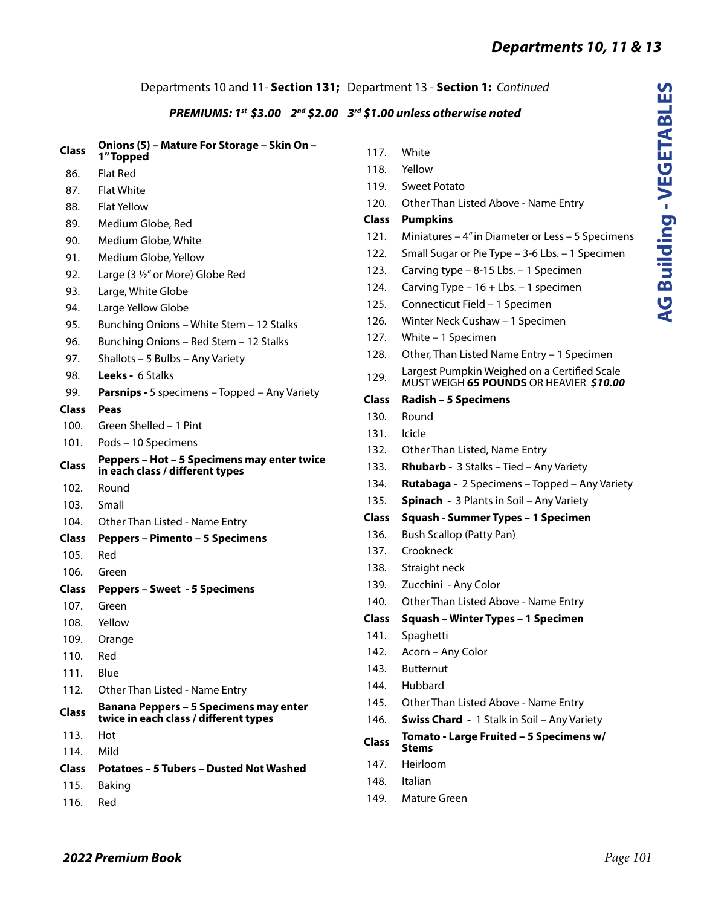*Page 101*

# Departments 10 and 11- **Section 131;** Department 13 - **Section 1:** *Continued*

# *PREMIUMS: 1st \$3.00 2nd \$2.00 3rd \$1.00 unless otherwise noted*

|              | PREMIUMS: 1st \$3.00 2nd \$2.0                                                  |
|--------------|---------------------------------------------------------------------------------|
| Class        | Onions (5) - Mature For Storage - Skin On -<br>1"Topped                         |
| 86.          | <b>Flat Red</b>                                                                 |
| 87.          | <b>Flat White</b>                                                               |
| 88.          | <b>Flat Yellow</b>                                                              |
| 89.          | Medium Globe, Red                                                               |
| 90.          | Medium Globe, White                                                             |
| 91.          | Medium Globe, Yellow                                                            |
| 92.          | Large (3 1/2" or More) Globe Red                                                |
| 93.          | Large, White Globe                                                              |
| 94.          | Large Yellow Globe                                                              |
| 95.          | Bunching Onions - White Stem - 12 Stalks                                        |
| 96.          | Bunching Onions - Red Stem - 12 Stalks                                          |
| 97.          | Shallots - 5 Bulbs - Any Variety                                                |
| 98.          | <b>Leeks - 6 Stalks</b>                                                         |
| 99.          | <b>Parsnips - 5 specimens - Topped - Any Variety</b>                            |
| Class        | Peas                                                                            |
| 100.         | Green Shelled - 1 Pint                                                          |
| 101.         | Pods - 10 Specimens                                                             |
| <b>Class</b> | Peppers - Hot - 5 Specimens may enter twice<br>in each class / different types  |
| 102.         | Round                                                                           |
| 103.         | Small                                                                           |
| 104.         | Other Than Listed - Name Entry                                                  |
| Class        | <b>Peppers - Pimento - 5 Specimens</b>                                          |
| 105.         | Red                                                                             |
| 106.         | Green                                                                           |
| Class        | <b>Peppers - Sweet - 5 Specimens</b>                                            |
| 107.         | Green                                                                           |
| 108.         | Yellow                                                                          |
| 109.         | Orange                                                                          |
| 110.         | Red                                                                             |
| 111.         | Blue                                                                            |
| 112.         | Other Than Listed - Name Entry                                                  |
| Class        | Banana Peppers - 5 Specimens may enter<br>twice in each class / different types |
| 113.         | Hot                                                                             |
| 114.         | Mild                                                                            |
| Class        | <b>Potatoes - 5 Tubers - Dusted Not Washed</b>                                  |
| 115.         | Baking                                                                          |
|              | Red                                                                             |

| 117.         | White                                                                                          |
|--------------|------------------------------------------------------------------------------------------------|
| 118.         | Yellow                                                                                         |
| 119.         | Sweet Potato                                                                                   |
| 120.         | Other Than Listed Above - Name Entry                                                           |
| Class        | <b>Pumpkins</b>                                                                                |
| 121.         | Miniatures - 4" in Diameter or Less - 5 Specimens                                              |
| 122.         | Small Sugar or Pie Type - 3-6 Lbs. - 1 Specimen                                                |
| 123.         | Carving type - 8-15 Lbs. - 1 Specimen                                                          |
| 124.         | Carving Type - 16 + Lbs. - 1 specimen                                                          |
| 125.         | Connecticut Field - 1 Specimen                                                                 |
| 126.         | Winter Neck Cushaw - 1 Specimen                                                                |
| 127.         | White - 1 Specimen                                                                             |
| 128.         | Other, Than Listed Name Entry - 1 Specimen                                                     |
| 129.         | Largest Pumpkin Weighed on a Certified Scale<br>MUST WEIGH <b>65 POUNDS</b> OR HEAVIER \$10.00 |
| Class        | Radish - 5 Specimens                                                                           |
| 130.         | Round                                                                                          |
| 131.         | Icicle                                                                                         |
| 132.         | Other Than Listed, Name Entry                                                                  |
| 133.         | <b>Rhubarb - 3 Stalks - Tied - Any Variety</b>                                                 |
| 134.         | Rutabaga - 2 Specimens - Topped - Any Variety                                                  |
| 135.         | <b>Spinach</b> - 3 Plants in Soil - Any Variety                                                |
| Class        | Squash - Summer Types - 1 Specimen                                                             |
| 136.         | <b>Bush Scallop (Patty Pan)</b>                                                                |
| 137.         | Crookneck                                                                                      |
| 138.         | Straight neck                                                                                  |
| 139.         | Zucchini - Any Color                                                                           |
| 140.         | Other Than Listed Above - Name Entry                                                           |
| Class        | Squash - Winter Types - 1 Specimen                                                             |
| 141.         | Spaghetti                                                                                      |
| 142.         | Acorn – Any Color                                                                              |
| 143.         | <b>Butternut</b>                                                                               |
| 144.         | Hubbard                                                                                        |
| 145.         | Other Than Listed Above - Name Entry                                                           |
| 146.         | <b>Swiss Chard - 1 Stalk in Soil - Any Variety</b>                                             |
| <b>Class</b> | Tomato - Large Fruited - 5 Specimens w/<br><b>Stems</b>                                        |
| 147.         | Heirloom                                                                                       |
| 148.         | Italian                                                                                        |
| 149.         | Mature Green                                                                                   |
|              |                                                                                                |